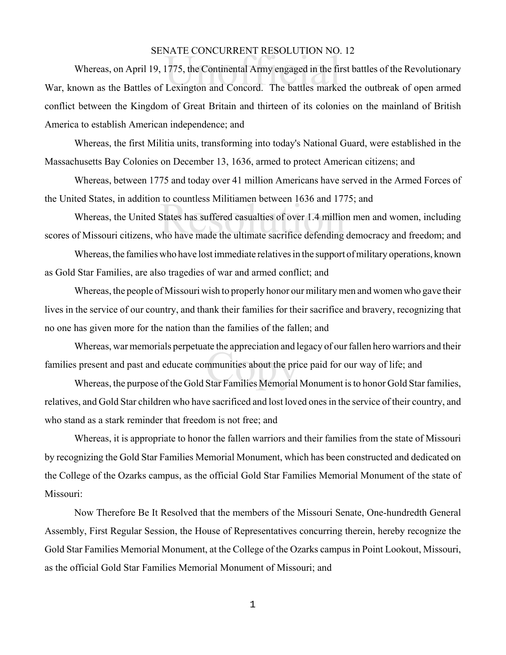## SENATE CONCURRENT RESOLUTION NO. 12

NATE CONCORRENT RESOLOTION NO.<br>1775, the Continental Army engaged in the fil<br>Lexington and Concord. The battles marke Whereas, on April 19, 1775, the Continental Army engaged in the first battles of the Revolutionary War, known as the Battles of Lexington and Concord. The battles marked the outbreak of open armed conflict between the Kingdom of Great Britain and thirteen of its colonies on the mainland of British America to establish American independence; and

Whereas, the first Militia units, transforming into today's National Guard, were established in the Massachusetts Bay Colonies on December 13, 1636, armed to protect American citizens; and

Whereas, between 1775 and today over 41 million Americans have served in the Armed Forces of the United States, in addition to countless Militiamen between 1636 and 1775; and

to countess Minitamen between 1050 and 17.<br>States has suffered casualties of over 1.4 millions<br>who have made the ultimate sacrifice defending Whereas, the United States has suffered casualties of over 1.4 million men and women, including scores of Missouri citizens, who have made the ultimate sacrifice defending democracy and freedom; and

Whereas, the families who have lost immediate relatives in the support of military operations, known as Gold Star Families, are also tragedies of war and armed conflict; and

Whereas, the people of Missouri wish to properly honor our military men and women who gave their lives in the service of our country, and thank their families for their sacrifice and bravery, recognizing that no one has given more for the nation than the families of the fallen; and

ne appreciation and i<br>mmunities about the pri<br>Star Families Memorial Whereas, war memorials perpetuate the appreciation and legacy of our fallen hero warriors and their families present and past and educate communities about the price paid for our way of life; and

Whereas, the purpose of the Gold Star Families Memorial Monument is to honor Gold Star families, relatives, and Gold Star children who have sacrificed and lost loved ones in the service of their country, and who stand as a stark reminder that freedom is not free; and

Whereas, it is appropriate to honor the fallen warriors and their families from the state of Missouri by recognizing the Gold Star Families Memorial Monument, which has been constructed and dedicated on the College of the Ozarks campus, as the official Gold Star Families Memorial Monument of the state of Missouri:

Now Therefore Be It Resolved that the members of the Missouri Senate, One-hundredth General Assembly, First Regular Session, the House of Representatives concurring therein, hereby recognize the Gold Star Families Memorial Monument, at the College of the Ozarks campus in Point Lookout, Missouri, as the official Gold Star Families Memorial Monument of Missouri; and